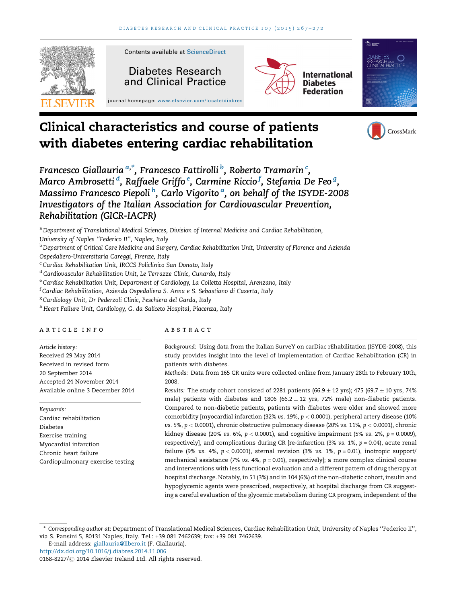

# Clinical characteristics and course of patients with diabetes entering cardiac rehabilitation

Francesco Giallauria <sup>a,\*</sup>, Francesco Fattirolli <sup>b</sup>, Roberto Tramarin <sup>c</sup>, Marco Ambrosetti <sup>d</sup>, Raffaele Griffo <sup>e</sup>, Carmine Riccio <sup>f</sup>, Stefania De Feo <sup>g</sup>, Massimo Francesco Piepoli <sup>h</sup>, Carlo Vigorito <sup>a</sup>, on behalf of the ISYDE-2008 Investigators of the Italian Association for Cardiovascular Prevention, Rehabilitation (GICR-IACPR)

a Department of Translational Medical Sciences, Division of Internal Medicine and Cardiac Rehabilitation,

University of Naples ''Federico II'', Naples, Italy

**b Department of Critical Care Medicine and Surgery, Cardiac Rehabilitation Unit, University of Florence and Azienda** Ospedaliero-Universitaria Careggi, Firenze, Italy

<sup>c</sup> Cardiac Rehabilitation Unit, IRCCS Policlinico San Donato, Italy

<sup>d</sup> Cardiovascular Rehabilitation Unit, Le Terrazze Clinic, Cunardo, Italy

e Cardiac Rehabilitation Unit, Department of Cardiology, La Colletta Hospital, Arenzano, Italy

 $^{\rm f}$ Cardiac Rehabilitation, Azienda Ospedaliera S. Anna e S. Sebastiano di Caserta, Italy

<sup>g</sup> Cardiology Unit, Dr Pederzoli Clinic, Peschiera del Garda, Italy

h Heart Failure Unit, Cardiology, G. da Saliceto Hospital, Piacenza, Italy

#### article info

Article history: Received 29 May 2014 Received in revised form 20 September 2014 Accepted 24 November 2014 Available online 3 December 2014

Keywords: Cardiac rehabilitation Diabetes Exercise training Myocardial infarction Chronic heart failure Cardiopulmonary exercise testing

## **ABSTRACT**

Background: Using data from the Italian SurveY on carDiac rEhabilitation (ISYDE-2008), this study provides insight into the level of implementation of Cardiac Rehabilitation (CR) in patients with diabetes.

CrossMark

Methods: Data from 165 CR units were collected online from January 28th to February 10th, 2008.

Results: The study cohort consisted of 2281 patients (66.9  $\pm$  12 yrs); 475 (69.7  $\pm$  10 yrs, 74% male) patients with diabetes and 1806 (66.2  $\pm$  12 yrs, 72% male) non-diabetic patients. Compared to non-diabetic patients, patients with diabetes were older and showed more comorbidity [myocardial infarction (32% vs. 19%,  $p < 0.0001$ ), peripheral artery disease (10% vs. 5%,  $p < 0.0001$ ), chronic obstructive pulmonary disease (20% vs. 11%,  $p < 0.0001$ ), chronic kidney disease (20% vs. 6%,  $p < 0.0001$ ), and cognitive impairment (5% vs. 2%,  $p = 0.0009$ ), respectively], and complications during CR [re-infarction (3% vs. 1%,  $p = 0.04$ ), acute renal failure (9% vs. 4%,  $p < 0.0001$ ), sternal revision (3% vs. 1%,  $p = 0.01$ ), inotropic support/ mechanical assistance (7% vs. 4%,  $p = 0.01$ ), respectively]; a more complex clinical course and interventions with less functional evaluation and a different pattern of drug therapy at hospital discharge. Notably, in 51 (3%) and in 104 (6%) of the non-diabetic cohort, insulin and hypoglycemic agents were prescribed, respectively, at hospital discharge from CR suggesting a careful evaluation of the glycemic metabolism during CR program, independent of the

E-mail address: [giallauria@libero.it](mailto:giallauria@libero.it) (F. Giallauria).

<sup>\*</sup> Corresponding author at: Department of Translational Medical Sciences, Cardiac Rehabilitation Unit, University of Naples ''Federico II'', via S. Pansini 5, 80131 Naples, Italy. Tel.: +39 081 7462639; fax: +39 081 7462639.

<http://dx.doi.org/10.1016/j.diabres.2014.11.006>

<sup>0168-8227/ @ 2014</sup> Elsevier Ireland Ltd. All rights reserved.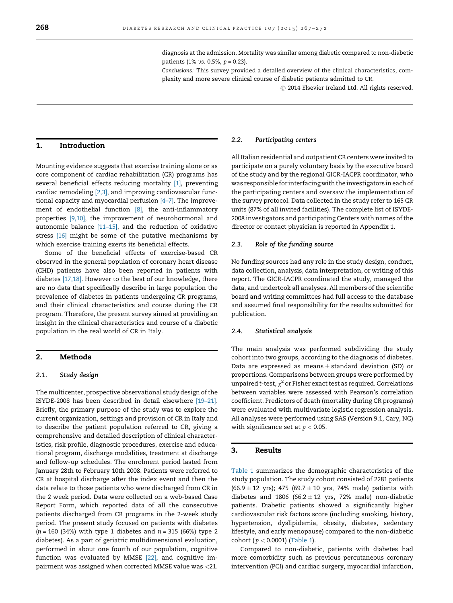Conclusions: This survey provided a detailed overview of the clinical characteristics, complexity and more severe clinical course of diabetic patients admitted to CR.

 $\odot$  2014 Elsevier Ireland Ltd. All rights reserved.

# 1. Introduction

Mounting evidence suggests that exercise training alone or as core component of cardiac rehabilitation (CR) programs has several beneficial effects reducing mortality [\[1\],](#page-4-0) preventing cardiac remodeling [\[2,3\]](#page-4-0), and improving cardiovascular functional capacity and myocardial perfusion [\[4–7\]](#page-4-0). The improvement of endothelial function [\[8\],](#page-4-0) the anti-inflammatory properties [\[9,10\],](#page-4-0) the improvement of neurohormonal and autonomic balance [\[11–15\]](#page-4-0), and the reduction of oxidative stress [\[16\]](#page-5-0) might be some of the putative mechanisms by which exercise training exerts its beneficial effects.

Some of the beneficial effects of exercise-based CR observed in the general population of coronary heart disease (CHD) patients have also been reported in patients with diabetes [\[17,18\]](#page-5-0). However to the best of our knowledge, there are no data that specifically describe in large population the prevalence of diabetes in patients undergoing CR programs, and their clinical characteristics and course during the CR program. Therefore, the present survey aimed at providing an insight in the clinical characteristics and course of a diabetic population in the real world of CR in Italy.

# 2. Methods

#### 2.1. Study design

The multicenter, prospective observational study design of the ISYDE-2008 has been described in detail elsewhere [\[19–21\]](#page-5-0). Briefly, the primary purpose of the study was to explore the current organization, settings and provision of CR in Italy and to describe the patient population referred to CR, giving a comprehensive and detailed description of clinical characteristics, risk profile, diagnostic procedures, exercise and educational program, discharge modalities, treatment at discharge and follow-up schedules. The enrolment period lasted from January 28th to February 10th 2008. Patients were referred to CR at hospital discharge after the index event and then the data relate to those patients who were discharged from CR in the 2 week period. Data were collected on a web-based Case Report Form, which reported data of all the consecutive patients discharged from CR programs in the 2-week study period. The present study focused on patients with diabetes  $(n = 160 (34%)$  with type 1 diabetes and  $n = 315 (66%)$  type 2 diabetes). As a part of geriatric multidimensional evaluation, performed in about one fourth of our population, cognitive function was evaluated by MMSE [\[22\]](#page-5-0), and cognitive impairment was assigned when corrected MMSE value was <21.

#### 2.2. Participating centers

All Italian residential and outpatient CR centers were invited to participate on a purely voluntary basis by the executive board of the study and by the regional GICR-IACPR coordinator, who was responsible for interfacing with the investigators in each of the participating centers and oversaw the implementation of the survey protocol. Data collected in the study refer to 165 CR units (87% of all invited facilities). The complete list of ISYDE-2008 investigators and participating Centers with names of the director or contact physician is reported in Appendix 1.

#### 2.3. Role of the funding source

No funding sources had any role in the study design, conduct, data collection, analysis, data interpretation, or writing of this report. The GICR-IACPR coordinated the study, managed the data, and undertook all analyses. All members of the scientific board and writing committees had full access to the database and assumed final responsibility for the results submitted for publication.

#### 2.4. Statistical analysis

The main analysis was performed subdividing the study cohort into two groups, according to the diagnosis of diabetes. Data are expressed as means  $\pm$  standard deviation (SD) or proportions. Comparisons between groups were performed by unpaired t-test,  $\chi^2$  or Fisher exact test as required. Correlations between variables were assessed with Pearson's correlation coefficient. Predictors of death (mortality during CR programs) were evaluated with multivariate logistic regression analysis. All analyses were performed using SAS (Version 9.1, Cary, NC) with significance set at  $p < 0.05$ .

## 3. Results

[Table 1](#page-2-0) summarizes the demographic characteristics of the study population. The study cohort consisted of 2281 patients  $(66.9 \pm 12 \text{ yrs})$ ; 475  $(69.7 \pm 10 \text{ yrs}, 74\% \text{ male})$  patients with diabetes and 1806 (66.2  $\pm$  12 yrs, 72% male) non-diabetic patients. Diabetic patients showed a significantly higher cardiovascular risk factors score (including smoking, history, hypertension, dyslipidemia, obesity, diabetes, sedentary lifestyle, and early menopause) compared to the non-diabetic cohort ( $p < 0.0001$ ) [\(Table 1\)](#page-2-0).

Compared to non-diabetic, patients with diabetes had more comorbidity such as previous percutaneous coronary intervention (PCI) and cardiac surgery, myocardial infarction,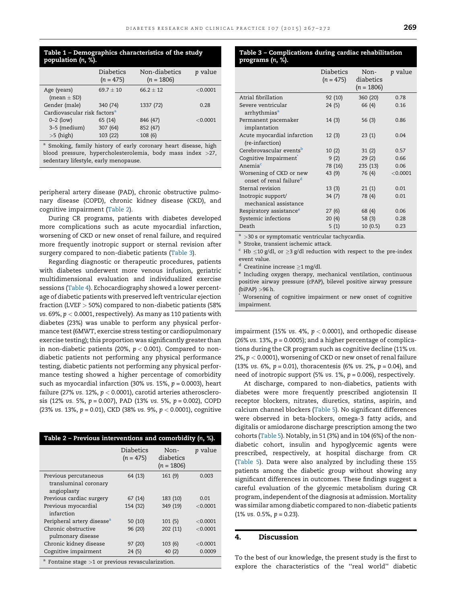## <span id="page-2-0"></span>Table 1 – Demographics characteristics of the study population (n, %).

|                                                           | <b>Diabetics</b><br>$(n = 475)$ | Non-diabetics<br>$(n = 1806)$  | <i>p</i> value |
|-----------------------------------------------------------|---------------------------------|--------------------------------|----------------|
| Age (years)<br>(mean $\pm$ SD)                            | $69.7 + 10$                     | $66.2 + 12$                    | $<$ 0.0001     |
| Gender (male)<br>Cardiovascular risk factors <sup>a</sup> | 340 (74)                        | 1337 (72)                      | 0.28           |
| $0 - 2$ (low)<br>3-5 (medium)<br>$>5$ (high)              | 65 (14)<br>307 (64)<br>103 (22) | 846 (47)<br>852 (47)<br>108(6) | $<$ 0.0001     |

<sup>a</sup> Smoking, family history of early coronary heart disease, high blood pressure, hypercholesterolemia, body mass index >27, sedentary lifestyle, early menopause.

peripheral artery disease (PAD), chronic obstructive pulmonary disease (COPD), chronic kidney disease (CKD), and cognitive impairment (Table 2).

During CR programs, patients with diabetes developed more complications such as acute myocardial infarction, worsening of CKD or new onset of renal failure, and required more frequently inotropic support or sternal revision after surgery compared to non-diabetic patients (Table 3).

Regarding diagnostic or therapeutic procedures, patients with diabetes underwent more venous infusion, geriatric multidimensional evaluation and individualized exercise sessions [\(Table 4\)](#page-3-0). Echocardiography showed a lower percentage of diabetic patients with preserved left ventricular ejection fraction (LVEF > 50%) compared to non-diabetic patients (58% vs. 69%,  $p < 0.0001$ , respectively). As many as 110 patients with diabetes (23%) was unable to perform any physical performance test (6MWT, exercise stress testing or cardiopulmonary exercise testing); this proportion was significantly greater than in non-diabetic patients (20%,  $p < 0.001$ ). Compared to nondiabetic patients not performing any physical performance testing, diabetic patients not performing any physical performance testing showed a higher percentage of comorbidity such as myocardial infarction (30% vs. 15%,  $p = 0.0003$ ), heart failure (27% vs. 12%,  $p < 0.0001$ ), carotid arteries atherosclerosis (12% vs. 5%,  $p = 0.007$ ), PAD (13% vs. 5%,  $p = 0.002$ ), COPD (23% vs. 13%,  $p = 0.01$ ), CKD (38% vs. 9%,  $p < 0.0001$ ), cognitive

| Table 2 - Previous interventions and comorbidity (n, %).      |                          |                                   |                |
|---------------------------------------------------------------|--------------------------|-----------------------------------|----------------|
|                                                               | Diabetics<br>$(n = 475)$ | Non-<br>diabetics<br>$(n = 1806)$ | <i>p</i> value |
| Previous percutaneous<br>transluminal coronary<br>angioplasty | 64 (13)                  | 161(9)                            | 0.003          |
| Previous cardiac surgery                                      | 67(14)                   | 183 (10)                          | 0.01           |
| Previous myocardial<br>infarction                             | 154 (32)                 | 349 (19)                          | < 0.0001       |
| Peripheral artery disease <sup>a</sup>                        | 50(10)                   | 101(5)                            | < 0.0001       |
| Chronic obstructive<br>pulmonary disease                      | 96 (20)                  | 202 (11)                          | < 0.0001       |
| Chronic kidney disease                                        | 97 (20)                  | 103(6)                            | $<$ 0.0001     |
| Cognitive impairment                                          | 24(5)                    | 40(2)                             | 0.0009         |
| $^{\circ}$ Fontaine stage >1 or previous revascularization.   |                          |                                   |                |

## Table 3 – Complications during cardiac rehabilitation programs (n, %).

|                                                                | <b>Diabetics</b><br>$(n = 475)$ | Non-<br>diabetics<br>$(n = 1806)$ | <i>p</i> value |
|----------------------------------------------------------------|---------------------------------|-----------------------------------|----------------|
| Atrial fibrillation                                            | 92 (10)                         | 360 (20)                          | 0.78           |
| Severe ventricular<br>arrhythmias <sup>a</sup>                 | 24 (5)                          | 66 (4)                            | 0.16           |
| Permanent pacemaker<br>implantation                            | 14(3)                           | 56(3)                             | 0.86           |
| Acute myocardial infarction<br>(re-infarction)                 | 12(3)                           | 23(1)                             | 0.04           |
| Cerebrovascular events <sup>b</sup>                            | 10(2)                           | 31(2)                             | 0.57           |
| Cognitive Impairment                                           | 9(2)                            | 29(2)                             | 0.66           |
| Anemia <sup>c</sup>                                            | 78 (16)                         | 235(13)                           | 0.06           |
| Worsening of CKD or new<br>onset of renal failure <sup>d</sup> | 43 (9)                          | 76 (4)                            | < 0.0001       |
| Sternal revision                                               | 13(3)                           | 21(1)                             | 0.01           |
| Inotropic support/<br>mechanical assistance                    | 34(7)                           | 78 (4)                            | 0.01           |
| Respiratory assistance <sup>e</sup>                            | 27 (6)                          | 68 (4)                            | 0.06           |
| Systemic infections                                            | 20(4)                           | 58(3)                             | 0.28           |
| Death                                                          | 5(1)                            | 10(0.5)                           | 0.23           |

 $a >$ 30 s or symptomatic ventricular tachycardia.

**b** Stroke, transient ischemic attack.

 $\epsilon$  Hb  $\leq$ 10 g/dl, or  $\geq$ 3 g/dl reduction with respect to the pre-index event value.

<sup>d</sup> Creatinine increase  $\geq 1$  mg/dl.

<sup>e</sup> Including oxygen therapy, mechanical ventilation, continuous positive airway pressure (cPAP), bilevel positive airway pressure (biPAP) >96 h.

Worsening of cognitive impairment or new onset of cognitive impairment.

impairment (15% vs. 4%,  $p < 0.0001$ ), and orthopedic disease (26% vs. 13%,  $p = 0.0005$ ); and a higher percentage of complications during the CR program such as cognitive decline (11% vs. 2%,  $p < 0.0001$ ), worsening of CKD or new onset of renal failure (13% vs. 6%,  $p = 0.01$ ), thoracentesis (6% vs. 2%,  $p = 0.04$ ), and need of inotropic support (5% vs.  $1\%$ ,  $p = 0.006$ ), respectively.

At discharge, compared to non-diabetics, patients with diabetes were more frequently prescribed angiotensin II receptor blockers, nitrates, diuretics, statins, aspirin, and calcium channel blockers [\(Table 5](#page-3-0)). No significant differences were observed in beta-blockers, omega-3 fatty acids, and digitalis or amiodarone discharge prescription among the two cohorts [\(Table 5\)](#page-3-0). Notably, in 51 (3%) and in 104 (6%) of the nondiabetic cohort, insulin and hypoglycemic agents were prescribed, respectively, at hospital discharge from CR [\(Table 5](#page-3-0)). Data were also analyzed by including these 155 patients among the diabetic group without showing any significant differences in outcomes. These findings suggest a careful evaluation of the glycemic metabolism during CR program, independent of the diagnosis at admission. Mortality was similar among diabetic compared to non-diabetic patients  $(1\% \text{ vs. } 0.5\%, p = 0.23).$ 

# 4. Discussion

To the best of our knowledge, the present study is the first to explore the characteristics of the ''real world'' diabetic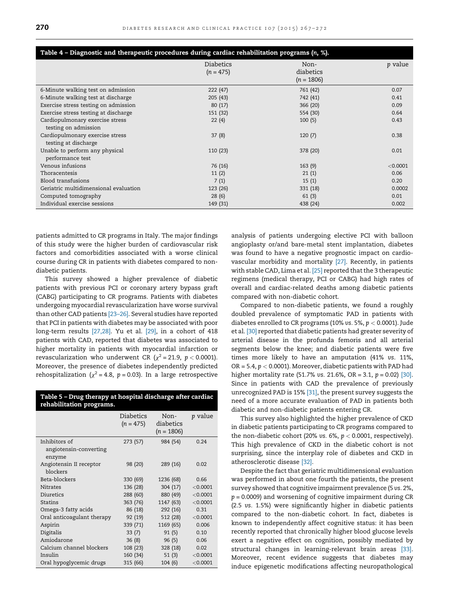<span id="page-3-0"></span>

| Table 4 - Diagnostic and therapeutic procedures during cardiac rehabilitation programs (n, %). |                                 |                                   |                |
|------------------------------------------------------------------------------------------------|---------------------------------|-----------------------------------|----------------|
|                                                                                                | <b>Diabetics</b><br>$(n = 475)$ | Non-<br>diabetics<br>$(n = 1806)$ | <i>p</i> value |
| 6-Minute walking test on admission                                                             | 222(47)                         | 761 (42)                          | 0.07           |
| 6-Minute walking test at discharge                                                             | 205(43)                         | 742 (41)                          | 0.41           |
| Exercise stress testing on admission                                                           | 80(17)                          | 366 (20)                          | 0.09           |
| Exercise stress testing at discharge                                                           | 151 (32)                        | 554 (30)                          | 0.64           |
| Cardiopulmonary exercise stress<br>testing on admission                                        | 22(4)                           | 100(5)                            | 0.43           |
| Cardiopulmonary exercise stress<br>testing at discharge                                        | 37(8)                           | 120(7)                            | 0.38           |
| Unable to perform any physical<br>performance test                                             | 110(23)                         | 378 (20)                          | 0.01           |
| Venous infusions                                                                               | 76 (16)                         | 163(9)                            | < 0.0001       |
| Thoracentesis                                                                                  | 11(2)                           | 21(1)                             | 0.06           |
| Blood transfusions                                                                             | 7(1)                            | 15(1)                             | 0.20           |
| Geriatric multidimensional evaluation                                                          | 123 (26)                        | 331 (18)                          | 0.0002         |
| Computed tomography                                                                            | 28(6)                           | 61(3)                             | 0.01           |
| Individual exercise sessions                                                                   | 149 (31)                        | 438 (24)                          | 0.002          |

patients admitted to CR programs in Italy. The major findings of this study were the higher burden of cardiovascular risk factors and comorbidities associated with a worse clinical course during CR in patients with diabetes compared to nondiabetic patients.

This survey showed a higher prevalence of diabetic patients with previous PCI or coronary artery bypass graft (CABG) participating to CR programs. Patients with diabetes undergoing myocardial revascularization have worse survival than other CAD patients [\[23–26\].](#page-5-0) Several studies have reported that PCI in patients with diabetes may be associated with poor long-term results [\[27,28\]](#page-5-0). Yu et al. [\[29\]](#page-5-0), in a cohort of 418 patients with CAD, reported that diabetes was associated to higher mortality in patients with myocardial infarction or revascularization who underwent CR ( $\chi^2$  = 21.9, p < 0.0001). Moreover, the presence of diabetes independently predicted rehospitalization ( $\chi^2$  = 4.8, p = 0.03). In a large retrospective

Table 5 – Drug therapy at hospital discharge after cardiac rehabilitation programs.

|                            | <b>Diabetics</b><br>$(n = 475)$ | Non-<br>diabetics<br>$(n = 1806)$ | <i>p</i> value |
|----------------------------|---------------------------------|-----------------------------------|----------------|
| Inhibitors of              | 273 (57)                        | 984 (54)                          | 0.24           |
| angiotensin-converting     |                                 |                                   |                |
| enzyme                     |                                 |                                   |                |
| Angiotensin II receptor    | 98 (20)                         | 289 (16)                          | 0.02           |
| blockers                   |                                 |                                   |                |
| Beta-blockers              | 330 (69)                        | 1236 (68)                         | 0.66           |
| <b>Nitrates</b>            | 136 (28)                        | 304(17)                           | < 0.0001       |
| Diuretics                  | 288 (60)                        | 880 (49)                          | < 0.0001       |
| <b>Statins</b>             | 363 (76)                        | 1147 (63)                         | < 0.0001       |
| Omega-3 fatty acids        | 86 (18)                         | 292 (16)                          | 0.31           |
| Oral anticoagulant therapy | 92 (19)                         | 512 (28)                          | < 0.0001       |
| Aspirin                    | 339 (71)                        | 1169 (65)                         | 0.006          |
| Digitalis                  | 33(7)                           | 91(5)                             | 0.10           |
| Amiodarone                 | 36(8)                           | 96(5)                             | 0.06           |
| Calcium channel blockers   | 108 (23)                        | 328(18)                           | 0.02           |
| Insulin                    | 160 (34)                        | 51(3)                             | < 0.0001       |
| Oral hypoglycemic drugs    | 315 (66)                        | 104(6)                            | < 0.0001       |

analysis of patients undergoing elective PCI with balloon angioplasty or/and bare-metal stent implantation, diabetes was found to have a negative prognostic impact on cardiovascular morbidity and mortality [\[27\].](#page-5-0) Recently, in patients with stable CAD, Lima et al. [\[25\]](#page-5-0) reported that the 3 therapeutic regimens (medical therapy, PCI or CABG) had high rates of overall and cardiac-related deaths among diabetic patients compared with non-diabetic cohort.

Compared to non-diabetic patients, we found a roughly doubled prevalence of symptomatic PAD in patients with diabetes enrolled to CR programs (10% vs. 5%,  $p < 0.0001$ ). Jude et al. [\[30\]](#page-5-0) reported that diabetic patients had greater severity of arterial disease in the profunda femoris and all arterial segments below the knee; and diabetic patients were five times more likely to have an amputation (41% vs. 11%, OR = 5.4,  $p < 0.0001$ ). Moreover, diabetic patients with PAD had higher mortality rate (51.7% vs. 21.6%, OR = 3.1,  $p = 0.02$ ) [\[30\]](#page-5-0). Since in patients with CAD the prevalence of previously unrecognized PAD is 15% [\[31\]](#page-5-0), the present survey suggests the need of a more accurate evaluation of PAD in patients both diabetic and non-diabetic patients entering CR.

This survey also highlighted the higher prevalence of CKD in diabetic patients participating to CR programs compared to the non-diabetic cohort (20% vs.  $6\%$ ,  $p < 0.0001$ , respectively). This high prevalence of CKD in the diabetic cohort is not surprising, since the interplay role of diabetes and CKD in atherosclerotic disease [\[32\]](#page-5-0).

Despite the fact that geriatric multidimensional evaluation was performed in about one fourth the patients, the present survey showed that cognitive impairment prevalence (5 vs. 2%,  $p = 0.0009$ ) and worsening of cognitive impairment during CR (2.5 vs. 1.5%) were significantly higher in diabetic patients compared to the non-diabetic cohort. In fact, diabetes is known to independently affect cognitive status: it has been recently reported that chronically higher blood glucose levels exert a negative effect on cognition, possibly mediated by structural changes in learning-relevant brain areas [\[33\]](#page-5-0). Moreover, recent evidence suggests that diabetes may induce epigenetic modifications affecting neuropathological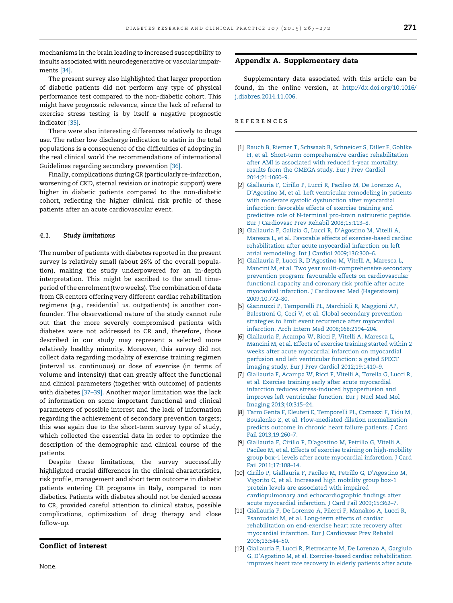<span id="page-4-0"></span>mechanisms in the brain leading to increased susceptibility to insults associated with neurodegenerative or vascular impairments [\[34\].](#page-5-0)

The present survey also highlighted that larger proportion of diabetic patients did not perform any type of physical performance test compared to the non-diabetic cohort. This might have prognostic relevance, since the lack of referral to exercise stress testing is by itself a negative prognostic indicator [\[35\]](#page-5-0).

There were also interesting differences relatively to drugs use. The rather low discharge indication to statin in the total populations is a consequence of the difficulties of adopting in the real clinical world the recommendations of international Guidelines regarding secondary prevention [\[36\]](#page-5-0).

Finally, complications during CR (particularly re-infarction, worsening of CKD, sternal revision or inotropic support) were higher in diabetic patients compared to the non-diabetic cohort, reflecting the higher clinical risk profile of these patients after an acute cardiovascular event.

#### 4.1. Study limitations

The number of patients with diabetes reported in the present survey is relatively small (about 26% of the overall population), making the study underpowered for an in-depth interpretation. This might be ascribed to the small timeperiod of the enrolment (two weeks). The combination of data from CR centers offering very different cardiac rehabilitation regimens (e.g., residential vs. outpatients) is another confounder. The observational nature of the study cannot rule out that the more severely compromised patients with diabetes were not addressed to CR and, therefore, those described in our study may represent a selected more relatively healthy minority. Moreover, this survey did not collect data regarding modality of exercise training regimen (interval vs. continuous) or dose of exercise (in terms of volume and intensity) that can greatly affect the functional and clinical parameters (together with outcome) of patients with diabetes [\[37–39\].](#page-5-0) Another major limitation was the lack of information on some important functional and clinical parameters of possible interest and the lack of information regarding the achievement of secondary prevention targets; this was again due to the short-term survey type of study, which collected the essential data in order to optimize the description of the demographic and clinical course of the patients.

Despite these limitations, the survey successfully highlighted crucial differences in the clinical characteristics, risk profile, management and short term outcome in diabetic patients entering CR programs in Italy, compared to non diabetics. Patients with diabetes should not be denied access to CR, provided careful attention to clinical status, possible complications, optimization of drug therapy and close follow-up.

# Conflict of interest

Appendix A. Supplementary data

Supplementary data associated with this article can be found, in the online version, at [http://dx.doi.org/10.1016/](http://dx.doi.org/10.1016/j.diabres.2014.11.006) [j.diabres.2014.11.006](http://dx.doi.org/10.1016/j.diabres.2014.11.006).

# references

- [1] [Rauch B, Riemer T, Schwaab B, Schneider S, Diller F, Gohlke](http://refhub.elsevier.com/S0168-8227(14)00524-5/sbref0005) [H, et al. Short-term comprehensive cardiac rehabilitation](http://refhub.elsevier.com/S0168-8227(14)00524-5/sbref0005) [after AMI is associated with reduced 1-year mortality:](http://refhub.elsevier.com/S0168-8227(14)00524-5/sbref0005) [results from the OMEGA study. Eur J Prev Cardiol](http://refhub.elsevier.com/S0168-8227(14)00524-5/sbref0005) [2014;21:1060–9](http://refhub.elsevier.com/S0168-8227(14)00524-5/sbref0005).
- [2] [Giallauria F, Cirillo P, Lucci R, Pacileo M, De Lorenzo A,](http://refhub.elsevier.com/S0168-8227(14)00524-5/sbref0010) [D'Agostino M, et al. Left ventricular remodeling in patients](http://refhub.elsevier.com/S0168-8227(14)00524-5/sbref0010) [with moderate systolic dysfunction after myocardial](http://refhub.elsevier.com/S0168-8227(14)00524-5/sbref0010) [infarction: favorable effects of exercise training and](http://refhub.elsevier.com/S0168-8227(14)00524-5/sbref0010) [predictive role of N-terminal pro-brain natriuretic peptide.](http://refhub.elsevier.com/S0168-8227(14)00524-5/sbref0010) [Eur J Cardiovasc Prev Rehabil 2008;15:113–8.](http://refhub.elsevier.com/S0168-8227(14)00524-5/sbref0010)
- [3] [Giallauria F, Galizia G, Lucci R, D'Agostino M, Vitelli A,](http://refhub.elsevier.com/S0168-8227(14)00524-5/sbref0015) [Maresca L, et al. Favorable effects of exercise-based cardiac](http://refhub.elsevier.com/S0168-8227(14)00524-5/sbref0015) [rehabilitation after acute myocardial infarction on left](http://refhub.elsevier.com/S0168-8227(14)00524-5/sbref0015) [atrial remodeling. Int J Cardiol 2009;136:300–6.](http://refhub.elsevier.com/S0168-8227(14)00524-5/sbref0015)
- [4] [Giallauria F, Lucci R, D'Agostino M, Vitelli A, Maresca L,](http://refhub.elsevier.com/S0168-8227(14)00524-5/sbref0020) [Mancini M, et al. Two year multi-comprehensive secondary](http://refhub.elsevier.com/S0168-8227(14)00524-5/sbref0020) [prevention program: favourable effects on cardiovascular](http://refhub.elsevier.com/S0168-8227(14)00524-5/sbref0020) [functional capacity and coronary risk profile after acute](http://refhub.elsevier.com/S0168-8227(14)00524-5/sbref0020) [myocardial infarction. J Cardiovasc Med \(Hagerstown\)](http://refhub.elsevier.com/S0168-8227(14)00524-5/sbref0020) [2009;10:772–80](http://refhub.elsevier.com/S0168-8227(14)00524-5/sbref0020).
- [5] [Giannuzzi P, Temporelli PL, Marchioli R, Maggioni AP,](http://refhub.elsevier.com/S0168-8227(14)00524-5/sbref0025) [Balestroni G, Ceci V, et al. Global secondary prevention](http://refhub.elsevier.com/S0168-8227(14)00524-5/sbref0025) [strategies to limit event recurrence after myocardial](http://refhub.elsevier.com/S0168-8227(14)00524-5/sbref0025) [infarction. Arch Intern Med 2008;168:2194–204.](http://refhub.elsevier.com/S0168-8227(14)00524-5/sbref0025)
- [6] [Giallauria F, Acampa W, Ricci F, Vitelli A, Maresca L,](http://refhub.elsevier.com/S0168-8227(14)00524-5/sbref0030) [Mancini M, et al. Effects of exercise training started within 2](http://refhub.elsevier.com/S0168-8227(14)00524-5/sbref0030) [weeks after acute myocardial infarction on myocardial](http://refhub.elsevier.com/S0168-8227(14)00524-5/sbref0030) [perfusion and left ventricular function: a gated SPECT](http://refhub.elsevier.com/S0168-8227(14)00524-5/sbref0030) [imaging study. Eur J Prev Cardiol 2012;19:1410–9](http://refhub.elsevier.com/S0168-8227(14)00524-5/sbref0030).
- [7] [Giallauria F, Acampa W, Ricci F, Vitelli A, Torella G, Lucci R,](http://refhub.elsevier.com/S0168-8227(14)00524-5/sbref0035) [et al. Exercise training early after acute myocardial](http://refhub.elsevier.com/S0168-8227(14)00524-5/sbref0035) [infarction reduces stress-induced hypoperfusion and](http://refhub.elsevier.com/S0168-8227(14)00524-5/sbref0035) [improves left ventricular function. Eur J Nucl Med Mol](http://refhub.elsevier.com/S0168-8227(14)00524-5/sbref0035) [Imaging 2013;40:315–24](http://refhub.elsevier.com/S0168-8227(14)00524-5/sbref0035).
- [8] [Tarro Genta F, Eleuteri E, Temporelli PL, Comazzi F, Tidu M,](http://refhub.elsevier.com/S0168-8227(14)00524-5/sbref0040) [Bouslenko Z, et al. Flow-mediated dilation normalization](http://refhub.elsevier.com/S0168-8227(14)00524-5/sbref0040) [predicts outcome in chronic heart failure patients. J Card](http://refhub.elsevier.com/S0168-8227(14)00524-5/sbref0040) [Fail 2013;19:260–7.](http://refhub.elsevier.com/S0168-8227(14)00524-5/sbref0040)
- [9] [Giallauria F, Cirillo P, D'agostino M, Petrillo G, Vitelli A,](http://refhub.elsevier.com/S0168-8227(14)00524-5/sbref0045) [Pacileo M, et al. Effects of exercise training on high-mobility](http://refhub.elsevier.com/S0168-8227(14)00524-5/sbref0045) [group box-1 levels after acute myocardial infarction. J Card](http://refhub.elsevier.com/S0168-8227(14)00524-5/sbref0045) [Fail 2011;17:108–14.](http://refhub.elsevier.com/S0168-8227(14)00524-5/sbref0045)
- [10] [Cirillo P, Giallauria F, Pacileo M, Petrillo G, D'Agostino M,](http://refhub.elsevier.com/S0168-8227(14)00524-5/sbref0050) [Vigorito C, et al. Increased high mobility group box-1](http://refhub.elsevier.com/S0168-8227(14)00524-5/sbref0050) [protein levels are associated with impaired](http://refhub.elsevier.com/S0168-8227(14)00524-5/sbref0050) [cardiopulmonary and echocardiographic findings after](http://refhub.elsevier.com/S0168-8227(14)00524-5/sbref0050) [acute myocardial infarction. J Card Fail 2009;15:362–7.](http://refhub.elsevier.com/S0168-8227(14)00524-5/sbref0050)
- [11] [Giallauria F, De Lorenzo A, Pilerci F, Manakos A, Lucci R,](http://refhub.elsevier.com/S0168-8227(14)00524-5/sbref0055) [Psaroudaki M, et al. Long-term effects of cardiac](http://refhub.elsevier.com/S0168-8227(14)00524-5/sbref0055) [rehabilitation on end-exercise heart rate recovery after](http://refhub.elsevier.com/S0168-8227(14)00524-5/sbref0055) [myocardial infarction. Eur J Cardiovasc Prev Rehabil](http://refhub.elsevier.com/S0168-8227(14)00524-5/sbref0055) [2006;13:544–50.](http://refhub.elsevier.com/S0168-8227(14)00524-5/sbref0055)
- [12] [Giallauria F, Lucci R, Pietrosante M, De Lorenzo A, Gargiulo](http://refhub.elsevier.com/S0168-8227(14)00524-5/sbref0060) [G, D'Agostino M, et al. Exercise-based cardiac rehabilitation](http://refhub.elsevier.com/S0168-8227(14)00524-5/sbref0060) [improves heart rate recovery in elderly patients after acute](http://refhub.elsevier.com/S0168-8227(14)00524-5/sbref0060)

None.